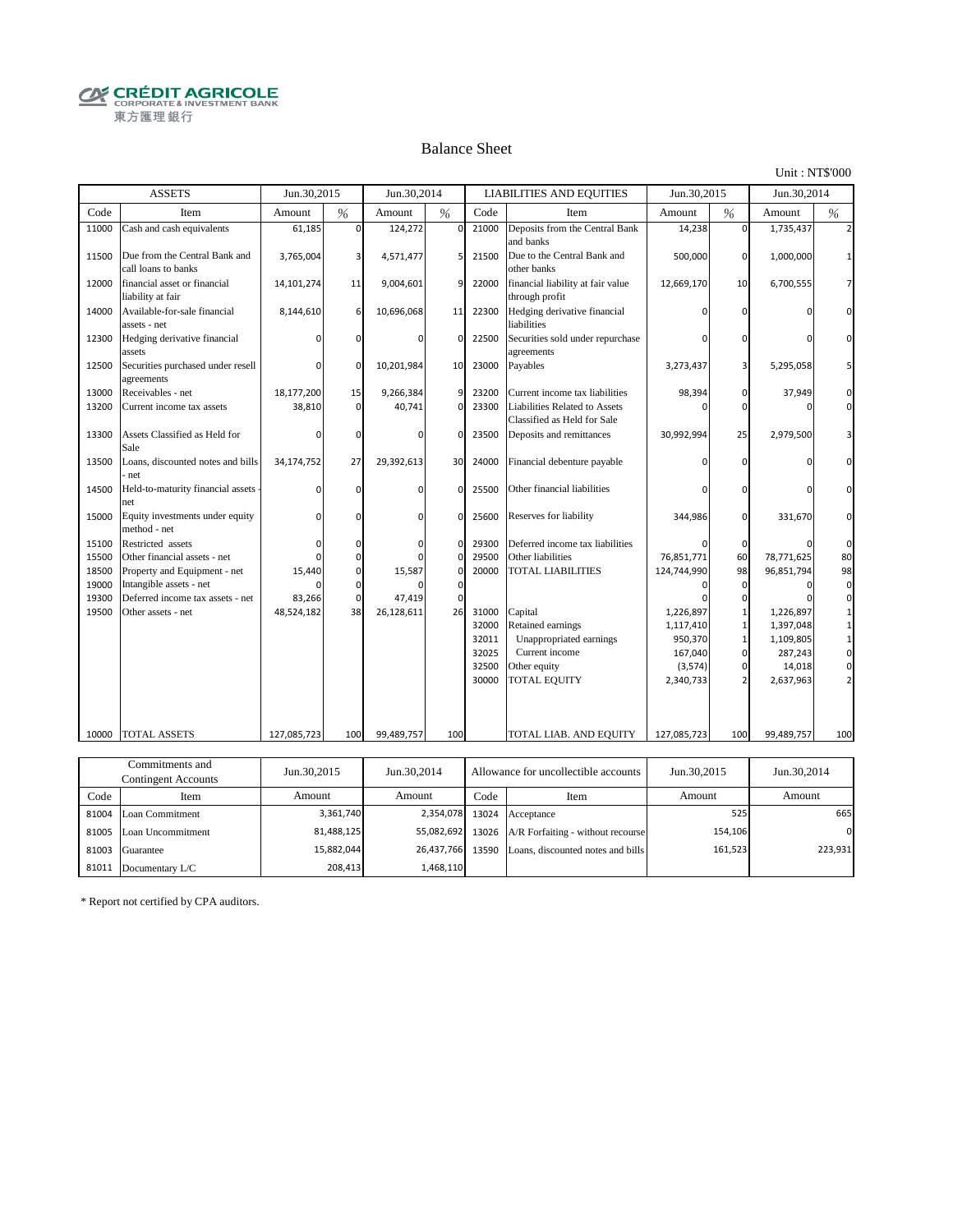**CRÉDIT AGRICOLE** 東方匯理銀行

#### Balance Sheet

Unit : NT\$'000

|       | <b>ASSETS</b>                                        | Jun.30,2015 |               | Jun.30.2014 |                 |       | <b>LIABILITIES AND EQUITIES</b>                              | Jun.30,2015 |          | Jun.30,2014 |          |
|-------|------------------------------------------------------|-------------|---------------|-------------|-----------------|-------|--------------------------------------------------------------|-------------|----------|-------------|----------|
| Code  | Item                                                 | Amount      | $\frac{9}{6}$ | Amount      | %               | Code  | Item                                                         | Amount      | %        | Amount      | %        |
| 11000 | Cash and cash equivalents                            | 61,185      | $\Omega$      | 124,272     | $\Omega$        | 21000 | Deposits from the Central Bank<br>and banks                  | 14,238      | $\Omega$ | 1,735,437   |          |
| 11500 | Due from the Central Bank and<br>call loans to banks | 3,765,004   | 3             | 4,571,477   | 5               | 21500 | Due to the Central Bank and<br>other banks                   | 500,000     | $\Omega$ | 1,000,000   |          |
| 12000 | financial asset or financial<br>liability at fair    | 14,101,274  | 11            | 9,004,601   | 9               | 22000 | financial liability at fair value<br>through profit          | 12,669,170  | 10       | 6,700,555   |          |
| 14000 | Available-for-sale financial<br>assets - net         | 8,144,610   | 6             | 10,696,068  | 11              | 22300 | Hedging derivative financial<br>liabilities                  |             |          |             |          |
| 12300 | Hedging derivative financial<br>assets               |             | $\Omega$      |             | $\Omega$        | 22500 | Securities sold under repurchase<br>agreements               |             |          |             |          |
| 12500 | Securities purchased under resell<br>agreements      | O           | $\Omega$      | 10,201,984  | 10 <sup>1</sup> | 23000 | Payables                                                     | 3,273,437   |          | 5,295,058   |          |
| 13000 | Receivables - net                                    | 18,177,200  | 15            | 9,266,384   | 9               | 23200 | Current income tax liabilities                               | 98,394      | 0        | 37,949      |          |
| 13200 | Current income tax assets                            | 38,810      | $\mathbf 0$   | 40,741      | $\mathbf 0$     | 23300 | Liabilities Related to Assets<br>Classified as Held for Sale |             | ŋ        |             |          |
| 13300 | Assets Classified as Held for<br>Sale                |             | $\Omega$      |             | $\Omega$        | 23500 | Deposits and remittances                                     | 30,992,994  | 25       | 2,979,500   |          |
| 13500 | Loans, discounted notes and bills<br>net             | 34,174,752  | 27            | 29,392,613  | 30 <sup>1</sup> | 24000 | Financial debenture payable                                  |             |          |             |          |
| 14500 | Held-to-maturity financial assets<br>net             | $\Omega$    | $\mathbf 0$   | n           | $\Omega$        | 25500 | Other financial liabilities                                  |             |          |             |          |
| 15000 | Equity investments under equity<br>method - net      | $\Omega$    | $\Omega$      | n           | $\mathbf{0}$    | 25600 | Reserves for liability                                       | 344,986     | 0        | 331,670     | $\Omega$ |
| 15100 | Restricted assets                                    | $\Omega$    | $\Omega$      |             | $\Omega$        | 29300 | Deferred income tax liabilities                              |             | $\Omega$ |             | $\Omega$ |
| 15500 | Other financial assets - net                         | O           | $\Omega$      |             | $\mathbf 0$     | 29500 | Other liabilities                                            | 76,851,771  | 60       | 78,771,625  | 80       |
| 18500 | Property and Equipment - net                         | 15,440      | $\mathbf 0$   | 15,587      | $\mathbf 0$     | 20000 | <b>TOTAL LIABILITIES</b>                                     | 124,744,990 | 98       | 96,851,794  | 98       |
| 19000 | Intangible assets - net                              |             | $\Omega$      |             | $\mathbf{0}$    |       |                                                              | n           | n        | ŋ           | $\Omega$ |
| 19300 | Deferred income tax assets - net                     | 83,266      | $\Omega$      | 47,419      | $\Omega$        |       |                                                              |             |          |             |          |
| 19500 | Other assets - net                                   | 48,524,182  | 38            | 26,128,611  | 26              | 31000 | Capital                                                      | 1,226,897   |          | 1,226,897   |          |
|       |                                                      |             |               |             |                 | 32000 | Retained earnings                                            | 1,117,410   |          | 1,397,048   |          |
|       |                                                      |             |               |             |                 | 32011 | Unappropriated earnings                                      | 950,370     |          | 1,109,805   |          |
|       |                                                      |             |               |             |                 | 32025 | Current income                                               | 167,040     | 0        | 287,243     | 0        |
|       |                                                      |             |               |             |                 | 32500 | Other equity                                                 | (3,574)     | 0        | 14,018      | $\Omega$ |
|       |                                                      |             |               |             |                 | 30000 | <b>TOTAL EQUITY</b>                                          | 2,340,733   |          | 2,637,963   |          |
| 10000 | <b>TOTAL ASSETS</b>                                  | 127,085,723 | 100           | 99,489,757  | 100             |       | TOTAL LIAB. AND EQUITY                                       | 127,085,723 | 100      | 99,489,757  | 100      |
|       |                                                      |             |               |             |                 |       |                                                              |             |          |             |          |
|       | Commitments and                                      |             |               |             |                 |       |                                                              |             |          |             |          |

|       | Commitments and<br>Contingent Accounts | Jun.30,2015 | Jun.30,2014<br>Allowance for uncollectible accounts |      | Jun.30,2015                                        | Jun.30,2014 |          |
|-------|----------------------------------------|-------------|-----------------------------------------------------|------|----------------------------------------------------|-------------|----------|
| Code  | Item                                   | Amount      | Amount                                              | Code | Item                                               | Amount      | Amount   |
|       | 81004 Loan Commitment                  | 3,361,740   |                                                     |      | 2,354,078 13024 Acceptance                         | 525         | 665      |
|       | 81005 Loan Uncommitment                | 81,488,125  |                                                     |      | 55,082,692 13026 A/R Forfaiting - without recourse | 154,106     | $\Omega$ |
| 81003 | Guarantee                              | 15,882,044  |                                                     |      | 26,437,766 13590 Loans, discounted notes and bills | 161,523     | 223,931  |
| 81011 | Documentary L/C                        | 208,413     | 1.468.110                                           |      |                                                    |             |          |

\* Report not certified by CPA auditors.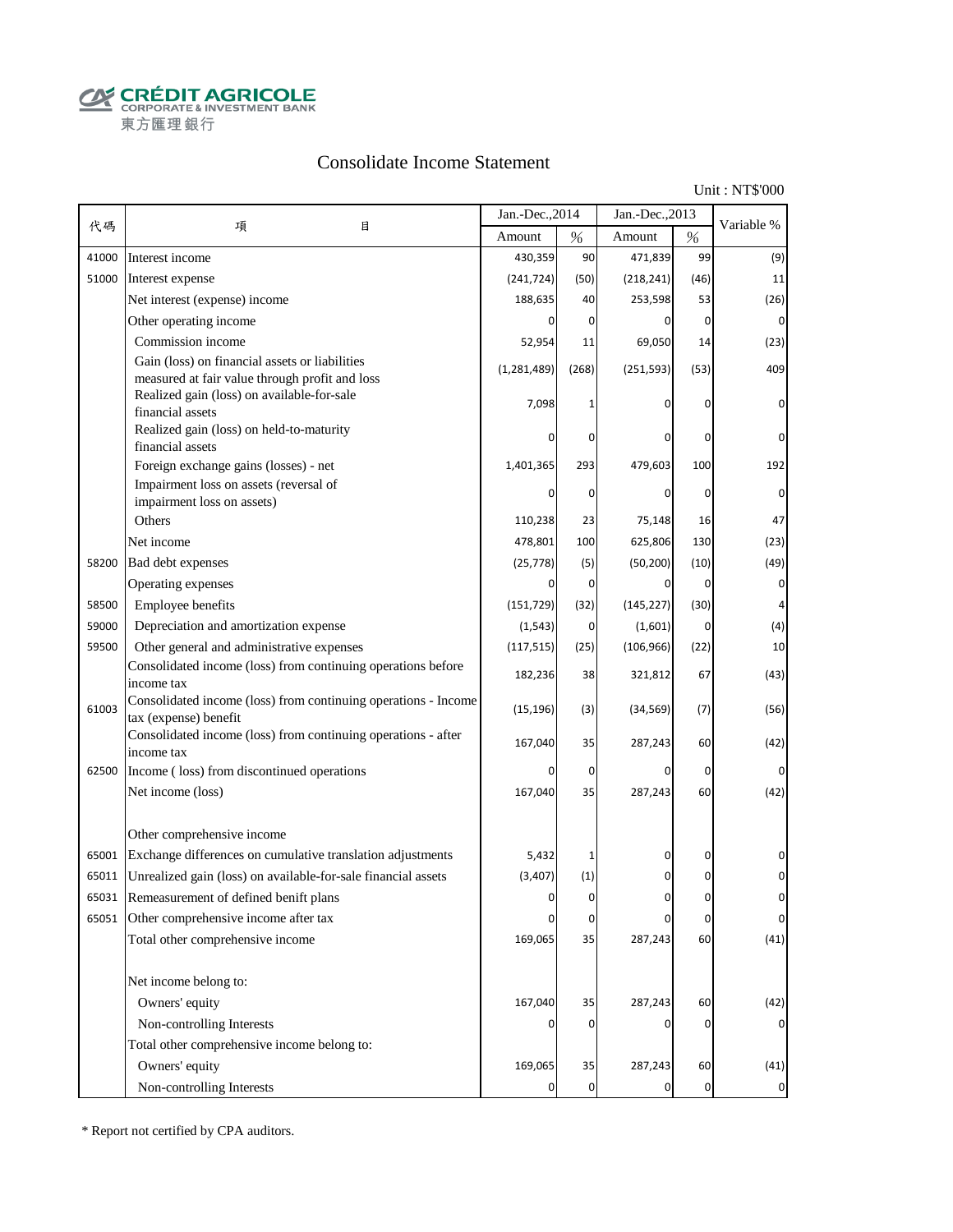**CALCOUT AGRICOLE**<br>
CORPORATE & INVESTMENT BANK<br>
東方匯理銀行

## Consolidate Income Statement

Unit : NT\$'000

|       |                                                                                                       | Jan.-Dec., 2014 |             | Jan.-Dec., 2013 |                | Variable %  |
|-------|-------------------------------------------------------------------------------------------------------|-----------------|-------------|-----------------|----------------|-------------|
| 代碼    | 項<br>目                                                                                                | Amount          | $\%$        | Amount          | $\%$           |             |
| 41000 | Interest income                                                                                       | 430,359         | 90          | 471,839         | 99             | (9)         |
| 51000 | Interest expense                                                                                      | (241, 724)      | (50)        | (218, 241)      | (46)           | 11          |
|       | Net interest (expense) income                                                                         | 188,635         | 40          | 253,598         | 53             | (26)        |
|       | Other operating income                                                                                | $\Omega$        | 0           | 0               | 0              | 0           |
|       | Commission income                                                                                     | 52,954          | 11          | 69,050          | 14             | (23)        |
|       | Gain (loss) on financial assets or liabilities<br>measured at fair value through profit and loss      | (1, 281, 489)   | (268)       | (251, 593)      | (53)           | 409         |
|       | Realized gain (loss) on available-for-sale<br>financial assets                                        | 7,098           |             |                 | 0              | 0           |
|       | Realized gain (loss) on held-to-maturity<br>financial assets                                          |                 | 0           | 0               | 0              | 0           |
|       | Foreign exchange gains (losses) - net                                                                 | 1,401,365       | 293         | 479,603         | 100            | 192         |
|       | Impairment loss on assets (reversal of                                                                |                 | 0           | $\Omega$        | 0              | $\Omega$    |
|       | impairment loss on assets)<br>Others                                                                  | 110,238         | 23          | 75,148          | 16             | 47          |
|       | Net income                                                                                            | 478,801         | 100         | 625,806         | 130            | (23)        |
| 58200 | Bad debt expenses                                                                                     | (25, 778)       | (5)         | (50, 200)       | (10)           | (49)        |
|       | Operating expenses                                                                                    | $\Omega$        | 0           | 0               | $\overline{0}$ | 0           |
| 58500 | Employee benefits                                                                                     | (151, 729)      | (32)        | (145, 227)      | (30)           | 4           |
| 59000 | Depreciation and amortization expense                                                                 | (1, 543)        | 0           | (1,601)         | 0              |             |
| 59500 | Other general and administrative expenses                                                             | (117, 515)      | (25)        | (106, 966)      | (22)           | (4)<br>10   |
|       | Consolidated income (loss) from continuing operations before                                          | 182,236         | 38          | 321,812         | 67             | (43)        |
| 61003 | income tax<br>Consolidated income (loss) from continuing operations - Income<br>tax (expense) benefit | (15, 196)       | (3)         | (34, 569)       | (7)            | (56)        |
|       | Consolidated income (loss) from continuing operations - after<br>income tax                           | 167,040         | 35          | 287,243         | 60             | (42)        |
| 62500 | Income (loss) from discontinued operations                                                            | 0               | $\mathbf 0$ | 0               | $\mathbf 0$    |             |
|       | Net income (loss)                                                                                     | 167,040         | 35          | 287,243         | 60             | (42)        |
|       | Other comprehensive income                                                                            |                 |             |                 |                |             |
| 65001 | Exchange differences on cumulative translation adjustments                                            | 5,432           |             | 0               | 0              |             |
| 65011 | Unrealized gain (loss) on available-for-sale financial assets                                         | (3, 407)        | (1)         | 0               | 0              |             |
| 65031 | Remeasurement of defined benift plans                                                                 |                 | U           |                 |                |             |
| 65051 | Other comprehensive income after tax                                                                  | 0               | $\pmb{0}$   | 0               | $\overline{0}$ | $\pmb{0}$   |
|       | Total other comprehensive income                                                                      | 169,065         | 35          | 287,243         | 60             | (41)        |
|       | Net income belong to:                                                                                 |                 |             |                 |                |             |
|       | Owners' equity                                                                                        | 167,040         | 35          | 287,243         | 60             | (42)        |
|       | Non-controlling Interests                                                                             |                 | 0           | 0               | 0              |             |
|       | Total other comprehensive income belong to:                                                           |                 |             |                 |                |             |
|       | Owners' equity                                                                                        | 169,065         | 35          | 287,243         | 60             | (41)        |
|       | Non-controlling Interests                                                                             | 0               | $\mathbf 0$ | 0               | $\mathbf 0$    | $\mathbf 0$ |

\* Report not certified by CPA auditors.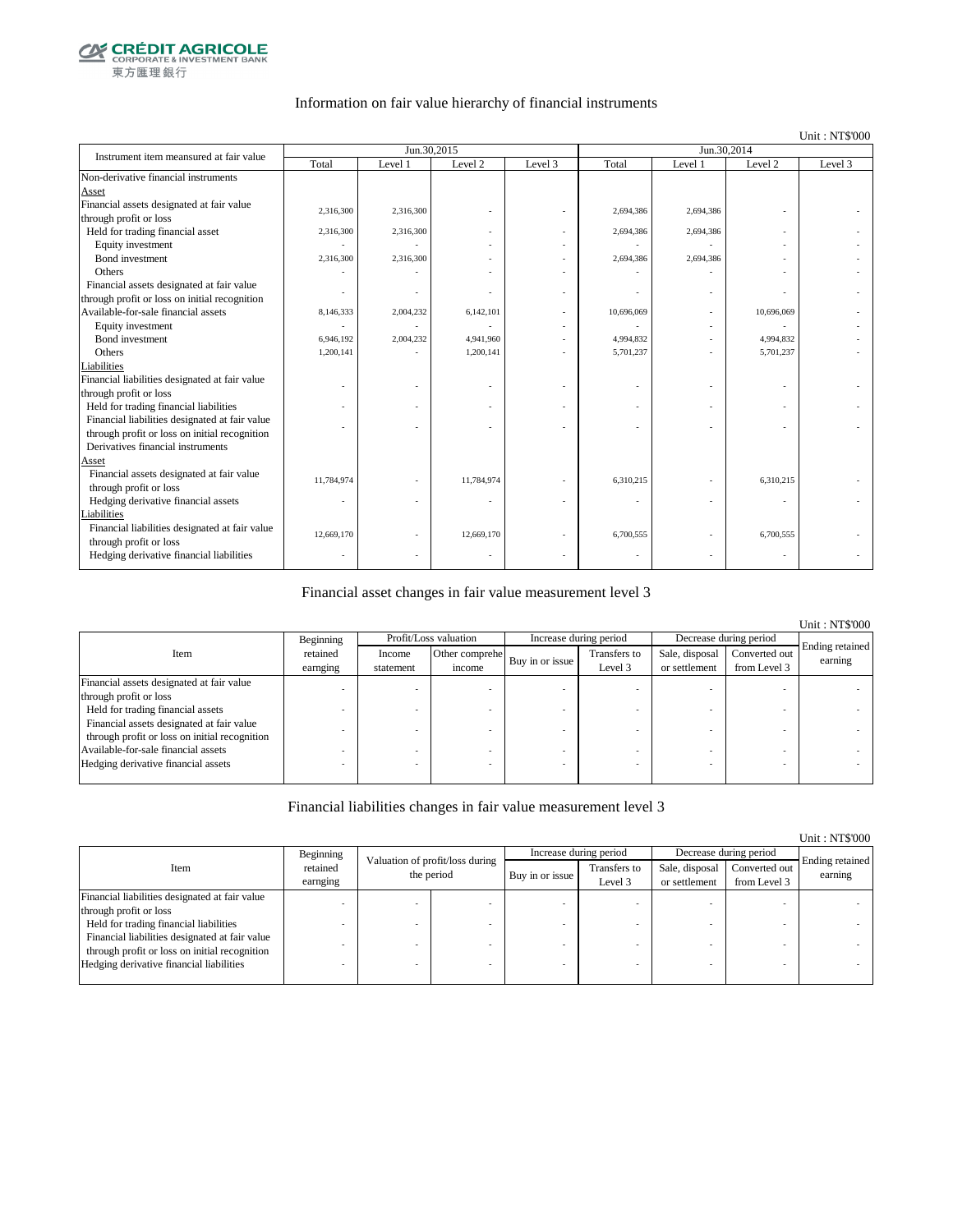

#### Information on fair value hierarchy of financial instruments

#### Unit : NT\$'000

| Instrument item meansured at fair value        |            | Jun.30,2015 |            |         | Jun.30,2014 |           |                    |         |
|------------------------------------------------|------------|-------------|------------|---------|-------------|-----------|--------------------|---------|
|                                                | Total      | Level 1     | Level 2    | Level 3 | Total       | Level 1   | Level <sub>2</sub> | Level 3 |
| Non-derivative financial instruments           |            |             |            |         |             |           |                    |         |
| Asset                                          |            |             |            |         |             |           |                    |         |
| Financial assets designated at fair value      | 2,316,300  | 2,316,300   |            |         | 2,694,386   | 2,694,386 |                    |         |
| through profit or loss                         |            |             |            |         |             |           |                    |         |
| Held for trading financial asset               | 2,316,300  | 2,316,300   |            |         | 2,694,386   | 2,694,386 |                    |         |
| Equity investment                              |            |             |            |         |             |           |                    |         |
| Bond investment                                | 2,316,300  | 2,316,300   |            |         | 2,694,386   | 2,694,386 |                    |         |
| Others                                         |            |             |            |         |             |           |                    |         |
| Financial assets designated at fair value      |            |             |            |         |             |           |                    |         |
| through profit or loss on initial recognition  |            |             |            |         |             |           |                    |         |
| Available-for-sale financial assets            | 8,146,333  | 2,004,232   | 6,142,101  |         | 10,696,069  |           | 10,696,069         |         |
| Equity investment                              |            |             |            |         |             |           |                    |         |
| Bond investment                                | 6,946,192  | 2,004,232   | 4,941,960  |         | 4,994,832   |           | 4,994,832          |         |
| Others                                         | 1,200,141  |             | 1,200,141  |         | 5,701,237   |           | 5,701,237          |         |
| Liabilities                                    |            |             |            |         |             |           |                    |         |
| Financial liabilities designated at fair value |            |             |            |         |             |           |                    |         |
| through profit or loss                         |            |             |            |         |             |           |                    |         |
| Held for trading financial liabilities         |            |             |            |         |             |           |                    |         |
| Financial liabilities designated at fair value |            |             |            |         |             |           |                    |         |
| through profit or loss on initial recognition  |            |             |            |         |             |           |                    |         |
| Derivatives financial instruments              |            |             |            |         |             |           |                    |         |
| Asset                                          |            |             |            |         |             |           |                    |         |
| Financial assets designated at fair value      | 11,784,974 |             | 11,784,974 |         | 6,310,215   |           | 6,310,215          |         |
| through profit or loss                         |            |             |            |         |             |           |                    |         |
| Hedging derivative financial assets            | ٠          |             |            |         |             |           | ÷,                 |         |
| Liabilities                                    |            |             |            |         |             |           |                    |         |
| Financial liabilities designated at fair value | 12,669,170 |             | 12,669,170 |         | 6,700,555   |           | 6,700,555          |         |
| through profit or loss                         |            |             |            |         |             |           |                    |         |
| Hedging derivative financial liabilities       |            |             |            |         |             |           |                    |         |

#### Financial asset changes in fair value measurement level 3

|                                                                                            |                      |                     |                          |                        |                         |                                 |                               | <b>Unit: NT\$'000</b>      |
|--------------------------------------------------------------------------------------------|----------------------|---------------------|--------------------------|------------------------|-------------------------|---------------------------------|-------------------------------|----------------------------|
|                                                                                            | Beginning            |                     | Profit/Loss valuation    | Increase during period |                         | Decrease during period          |                               |                            |
| Item                                                                                       | retained<br>earnging | Income<br>statement | Other comprehe<br>income | Buy in or issue        | Transfers to<br>Level 3 | Sale, disposal<br>or settlement | Converted out<br>from Level 3 | Ending retained<br>earning |
| Financial assets designated at fair value                                                  |                      |                     |                          |                        |                         |                                 |                               |                            |
| through profit or loss                                                                     |                      |                     |                          |                        |                         |                                 |                               |                            |
| Held for trading financial assets                                                          |                      |                     |                          |                        |                         |                                 |                               |                            |
| Financial assets designated at fair value<br>through profit or loss on initial recognition |                      |                     |                          |                        |                         |                                 |                               |                            |
| Available-for-sale financial assets                                                        |                      |                     |                          |                        |                         |                                 |                               |                            |
| Hedging derivative financial assets                                                        |                      |                     |                          |                        |                         |                                 |                               |                            |

#### Financial liabilities changes in fair value measurement level 3

|                                                |                      |                                               |                 |                         |                                 |                               | Unit: NT\$'000             |
|------------------------------------------------|----------------------|-----------------------------------------------|-----------------|-------------------------|---------------------------------|-------------------------------|----------------------------|
|                                                | Beginning            |                                               |                 | Increase during period  |                                 | Decrease during period        |                            |
| Item                                           | retained<br>earnging | Valuation of profit/loss during<br>the period | Buy in or issue | Transfers to<br>Level 3 | Sale, disposal<br>or settlement | Converted out<br>from Level 3 | Ending retained<br>earning |
| Financial liabilities designated at fair value |                      |                                               |                 |                         |                                 |                               |                            |
| through profit or loss                         |                      |                                               |                 |                         |                                 |                               |                            |
| Held for trading financial liabilities         |                      |                                               |                 |                         |                                 |                               |                            |
| Financial liabilities designated at fair value |                      |                                               |                 |                         |                                 |                               |                            |
| through profit or loss on initial recognition  |                      |                                               |                 |                         |                                 |                               |                            |
| Hedging derivative financial liabilities       |                      |                                               |                 |                         |                                 | $\overline{\phantom{a}}$      |                            |
|                                                |                      |                                               |                 |                         |                                 |                               |                            |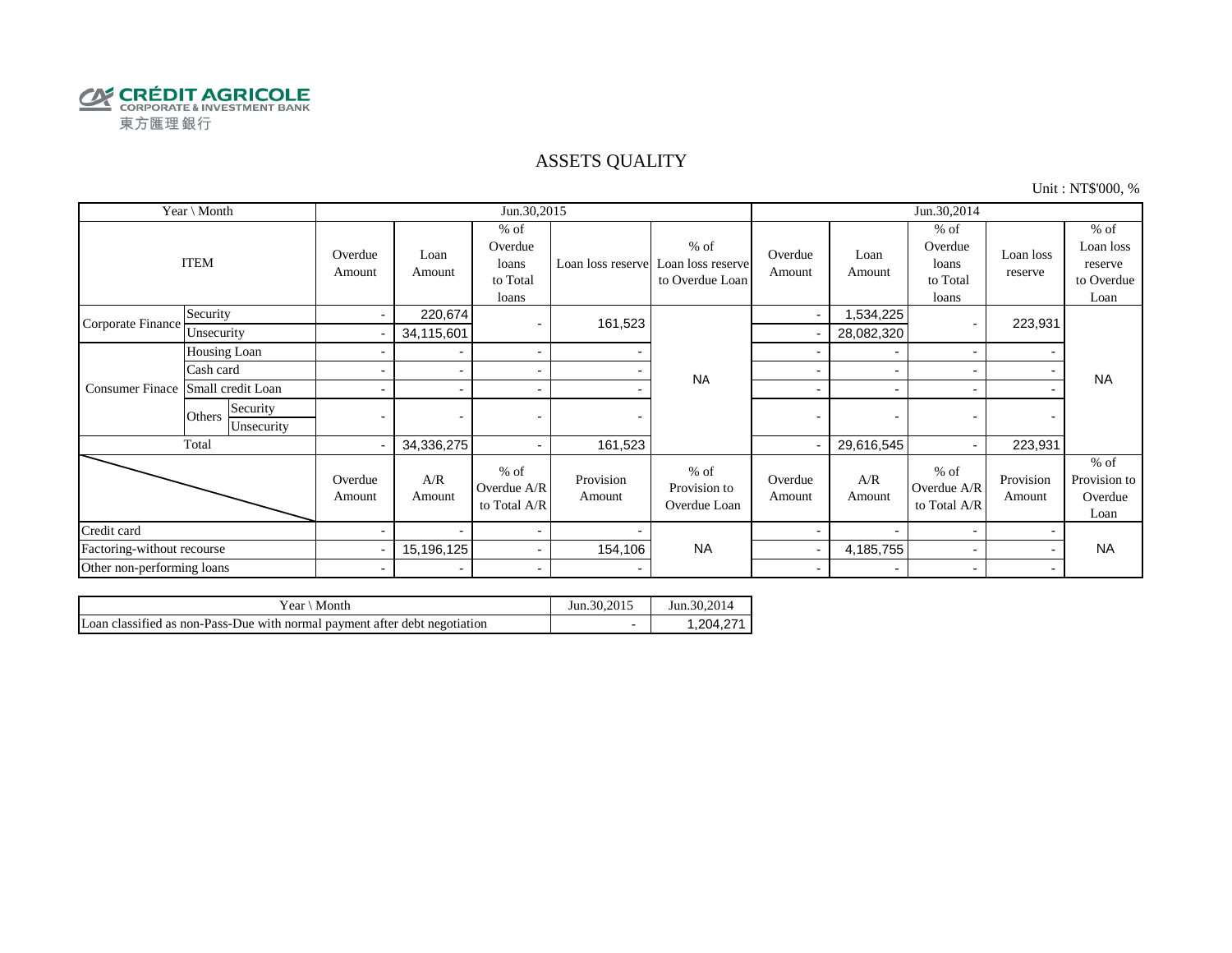

### ASSETS QUALITY

Unit : NT\$'000, %

| Year \ Month               |                                  |                          |                          | Jun.30,2015                                     |                     |                                                | Jun.30,2014              |                          |                                                 |                          |                                                      |
|----------------------------|----------------------------------|--------------------------|--------------------------|-------------------------------------------------|---------------------|------------------------------------------------|--------------------------|--------------------------|-------------------------------------------------|--------------------------|------------------------------------------------------|
| <b>ITEM</b>                |                                  | Overdue<br>Amount        | Loan<br>Amount           | $%$ of<br>Overdue<br>loans<br>to Total<br>loans | Loan loss reserve   | $%$ of<br>Loan loss reserve<br>to Overdue Loan | Overdue<br>Amount        | Loan<br>Amount           | $%$ of<br>Overdue<br>loans<br>to Total<br>loans | Loan loss<br>reserve     | $%$ of<br>Loan loss<br>reserve<br>to Overdue<br>Loan |
| Corporate Finance          | Security                         | $\overline{\phantom{a}}$ | 220,674                  |                                                 | 161,523             |                                                |                          | 1,534,225                |                                                 | 223,931                  |                                                      |
|                            | Unsecurity                       |                          | 34,115,601               |                                                 |                     |                                                |                          | 28,082,320               |                                                 |                          |                                                      |
|                            | Housing Loan                     |                          | $\blacksquare$           | $\blacksquare$                                  |                     |                                                |                          |                          |                                                 |                          |                                                      |
|                            | Cash card                        |                          | $\overline{\phantom{0}}$ | $\overline{\phantom{a}}$                        |                     | <b>NA</b>                                      |                          |                          |                                                 |                          | <b>NA</b>                                            |
| <b>Consumer Finace</b>     | Small credit Loan                |                          |                          | $\blacksquare$                                  |                     |                                                |                          |                          |                                                 |                          |                                                      |
|                            | Security<br>Others<br>Unsecurity |                          | $\overline{\phantom{0}}$ | $\overline{\phantom{a}}$                        |                     |                                                |                          | $\overline{\phantom{0}}$ |                                                 |                          |                                                      |
|                            | Total                            |                          | 34,336,275               |                                                 | 161,523             |                                                |                          | 29,616,545               |                                                 | 223,931                  |                                                      |
|                            |                                  | Overdue<br>Amount        | A/R<br>Amount            | $%$ of<br>Overdue A/R<br>to Total A/R           | Provision<br>Amount | $%$ of<br>Provision to<br>Overdue Loan         | Overdue<br>Amount        | A/R<br>Amount            | $%$ of<br>Overdue A/R<br>to Total A/R           | Provision<br>Amount      | $%$ of<br>Provision to<br>Overdue<br>Loan            |
| Credit card                |                                  |                          |                          | $\blacksquare$                                  |                     |                                                |                          |                          |                                                 |                          |                                                      |
| Factoring-without recourse |                                  |                          | 15,196,125               | $\sim$                                          | 154,106             | <b>NA</b>                                      |                          | 4,185,755                |                                                 | $\blacksquare$           | <b>NA</b>                                            |
| Other non-performing loans |                                  | $\overline{\phantom{0}}$ |                          | $\overline{\phantom{a}}$                        |                     |                                                | $\overline{\phantom{a}}$ |                          |                                                 | $\overline{\phantom{0}}$ |                                                      |

| \ Month<br>Year $\langle$                                                  | Jun.30,2015 | Jun. 30, 2014 |
|----------------------------------------------------------------------------|-------------|---------------|
| Loan classified as non-Pass-Due with normal payment after debt negotiation |             | .204.271      |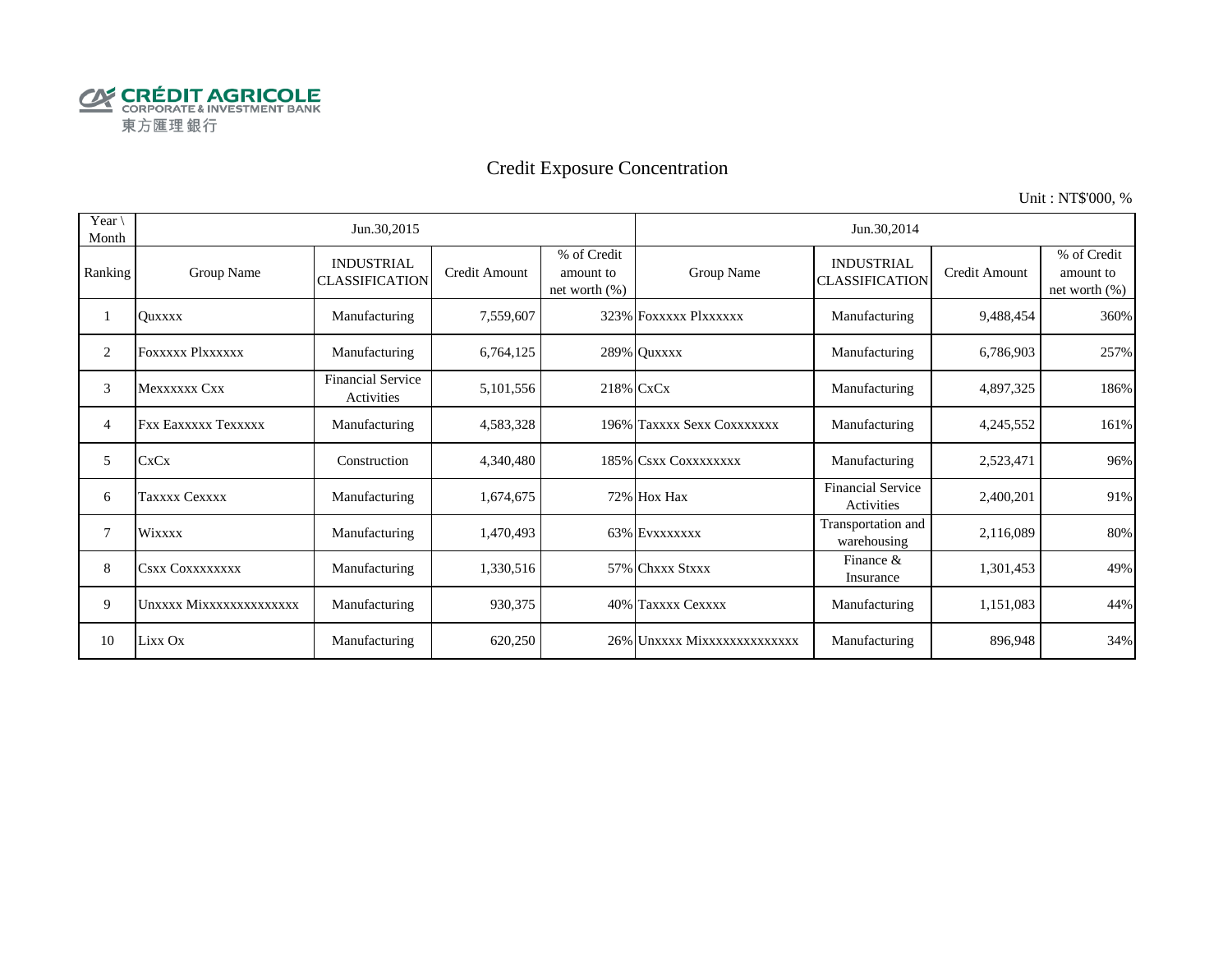

# Credit Exposure Concentration

Unit : NT\$'000, %

| Year $\setminus$<br>Month |                            | Jun.30,2015                                |               |                                              | Jun.30,2014                 |                                            |               |                                              |  |  |
|---------------------------|----------------------------|--------------------------------------------|---------------|----------------------------------------------|-----------------------------|--------------------------------------------|---------------|----------------------------------------------|--|--|
| Ranking                   | Group Name                 | <b>INDUSTRIAL</b><br><b>CLASSIFICATION</b> | Credit Amount | % of Credit<br>amount to<br>net worth $(\%)$ | Group Name                  | <b>INDUSTRIAL</b><br><b>CLASSIFICATION</b> | Credit Amount | % of Credit<br>amount to<br>net worth $(\%)$ |  |  |
|                           | Ouxxxx                     | Manufacturing                              | 7,559,607     |                                              | 323% FOXXXXX PlXXXXXX       | Manufacturing                              | 9,488,454     | 360%                                         |  |  |
| 2                         | <b>FOXXXXX PIXXXXXX</b>    | Manufacturing                              | 6,764,125     |                                              | 289% Quxxxx                 | Manufacturing                              | 6,786,903     | 257%                                         |  |  |
| 3                         | Mexxxxxx Cxx               | <b>Financial Service</b><br>Activities     | 5,101,556     |                                              | 218% CxCx                   | Manufacturing                              | 4,897,325     | 186%                                         |  |  |
| 4                         | <b>Fxx Eaxxxxx Texxxxx</b> | Manufacturing                              | 4,583,328     |                                              | 196% Taxxxx Sexx Coxxxxxxx  | Manufacturing                              | 4,245,552     | 161%                                         |  |  |
| 5                         | CxCx                       | Construction                               | 4,340,480     |                                              | 185% CSXX COXXXXXXX         | Manufacturing                              | 2,523,471     | 96%                                          |  |  |
| 6                         | Taxxxx Cexxxx              | Manufacturing                              | 1,674,675     |                                              | 72% Hox Hax                 | <b>Financial Service</b><br>Activities     | 2,400,201     | 91%                                          |  |  |
| 7                         | <b>Wixxxx</b>              | Manufacturing                              | 1,470,493     |                                              | 63% EVXXXXXXX               | Transportation and<br>warehousing          | 2,116,089     | 80%                                          |  |  |
| 8                         | <b>CSXX COXXXXXXXX</b>     | Manufacturing                              | 1,330,516     |                                              | 57% Chxxx Stxxx             | Finance &<br>Insurance                     | 1,301,453     | 49%                                          |  |  |
| 9                         | Unxxxx Mixxxxxxxxxxxxxx    | Manufacturing                              | 930,375       |                                              | 40% Taxxxx Cexxxx           | Manufacturing                              | 1,151,083     | 44%                                          |  |  |
| 10                        | Lixx Ox                    | Manufacturing                              | 620,250       |                                              | 26% Unxxxx Mixxxxxxxxxxxxxx | Manufacturing                              | 896,948       | 34%                                          |  |  |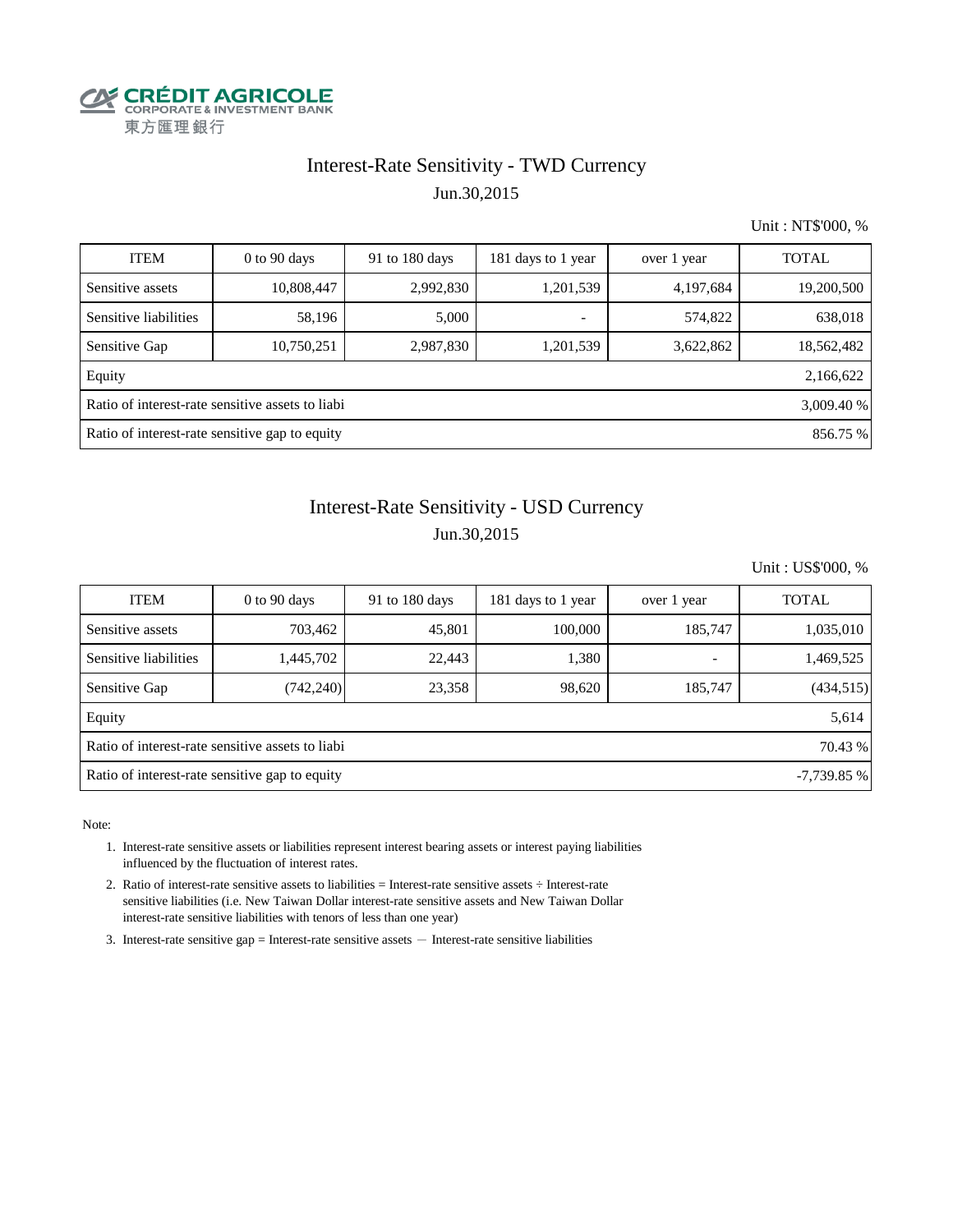

## Interest-Rate Sensitivity - TWD Currency Jun.30,2015

Unit : NT\$'000, %

| <b>ITEM</b>                                                    | $0$ to 90 days | 91 to 180 days | 181 days to 1 year       | over 1 year | <b>TOTAL</b> |  |  |  |  |
|----------------------------------------------------------------|----------------|----------------|--------------------------|-------------|--------------|--|--|--|--|
| Sensitive assets                                               | 10,808,447     | 2,992,830      | 1,201,539                | 4,197,684   | 19,200,500   |  |  |  |  |
| Sensitive liabilities                                          | 58,196         | 5,000          | $\overline{\phantom{a}}$ | 574,822     | 638,018      |  |  |  |  |
| Sensitive Gap                                                  | 10,750,251     | 2,987,830      | 1,201,539                | 3,622,862   | 18,562,482   |  |  |  |  |
| Equity                                                         |                |                |                          |             | 2,166,622    |  |  |  |  |
| Ratio of interest-rate sensitive assets to liabi<br>3,009.40 % |                |                |                          |             |              |  |  |  |  |
| Ratio of interest-rate sensitive gap to equity<br>856.75 %     |                |                |                          |             |              |  |  |  |  |

# Jun.30,2015 Interest-Rate Sensitivity - USD Currency

Unit : US\$'000, %

| <b>ITEM</b>                                                    | $0$ to 90 days | 91 to $180$ days | 181 days to 1 year | over 1 year | <b>TOTAL</b> |  |  |  |  |
|----------------------------------------------------------------|----------------|------------------|--------------------|-------------|--------------|--|--|--|--|
| Sensitive assets                                               | 703,462        | 45,801           | 100,000            | 185,747     | 1,035,010    |  |  |  |  |
| Sensitive liabilities                                          | 1,445,702      | 22,443           | 1,380              | ٠           | 1,469,525    |  |  |  |  |
| Sensitive Gap                                                  | (742, 240)     | 23,358           | 98,620             | 185,747     | (434, 515)   |  |  |  |  |
| Equity                                                         |                |                  |                    |             | 5,614        |  |  |  |  |
| Ratio of interest-rate sensitive assets to liabi<br>70.43 %    |                |                  |                    |             |              |  |  |  |  |
| Ratio of interest-rate sensitive gap to equity<br>$-7,739.85%$ |                |                  |                    |             |              |  |  |  |  |

Note:

- 1. Interest-rate sensitive assets or liabilities represent interest bearing assets or interest paying liabilities influenced by the fluctuation of interest rates.
- 2. Ratio of interest-rate sensitive assets to liabilities = Interest-rate sensitive assets ÷ Interest-rate sensitive liabilities (i.e. New Taiwan Dollar interest-rate sensitive assets and New Taiwan Dollar interest-rate sensitive liabilities with tenors of less than one year)
- 3. Interest-rate sensitive gap = Interest-rate sensitive assets  $-$  Interest-rate sensitive liabilities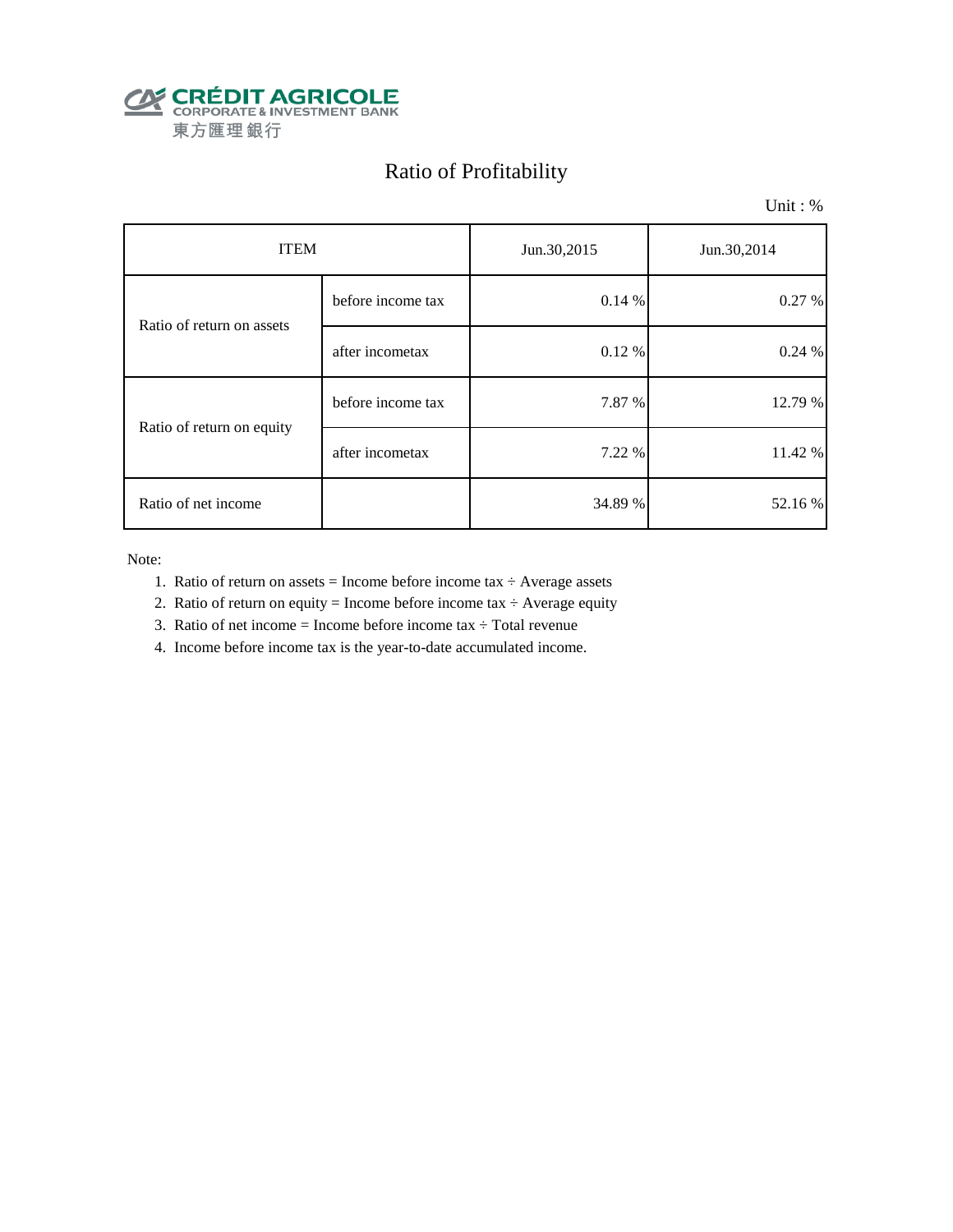

# Ratio of Profitability

Unit : %

| <b>ITEM</b>               |                   | Jun.30,2015 | Jun.30,2014 |  |
|---------------------------|-------------------|-------------|-------------|--|
| Ratio of return on assets | before income tax | 0.14%       | 0.27%       |  |
|                           | after incometax   | 0.12%       | 0.24%       |  |
| Ratio of return on equity | before income tax | 7.87 %      | 12.79 %     |  |
|                           | after incometax   | 7.22 %      | 11.42 %     |  |
| Ratio of net income       |                   | 34.89 %     | 52.16 %     |  |

Note:

- 1. Ratio of return on assets = Income before income tax  $\div$  Average assets
- 2. Ratio of return on equity = Income before income tax  $\div$  Average equity
- 3. Ratio of net income = Income before income tax  $\div$  Total revenue
- 4. Income before income tax is the year-to-date accumulated income.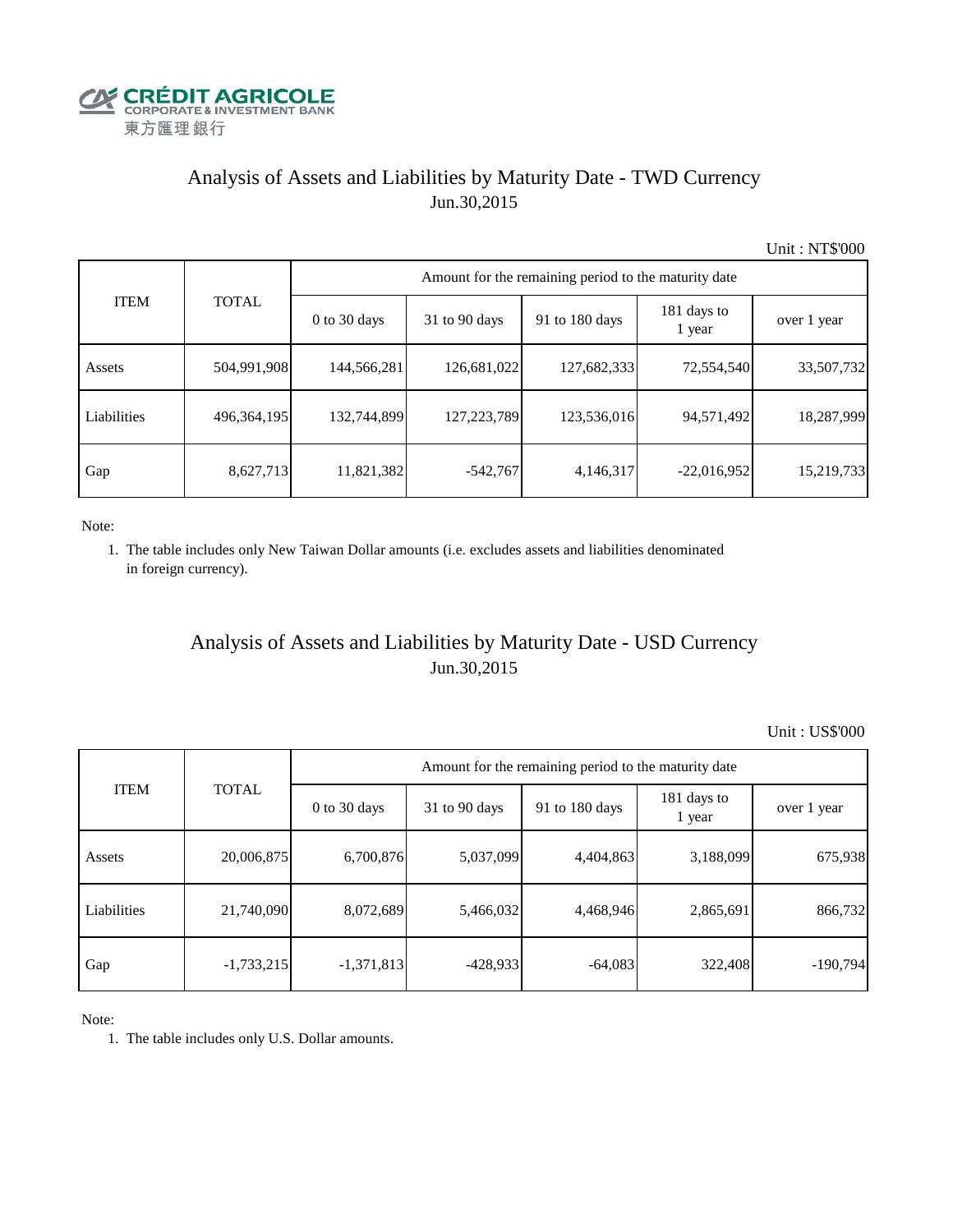

# Analysis of Assets and Liabilities by Maturity Date - TWD Currency Jun.30,2015

Unit : NT\$'000

| <b>ITEM</b> | <b>TOTAL</b> | Amount for the remaining period to the maturity date |                 |                |                       |             |  |  |
|-------------|--------------|------------------------------------------------------|-----------------|----------------|-----------------------|-------------|--|--|
|             |              | $0$ to 30 days                                       | $31$ to 90 days | 91 to 180 days | 181 days to<br>1 year | over 1 year |  |  |
| Assets      | 504,991,908  | 144,566,281                                          | 126,681,022     | 127,682,333    | 72,554,540            | 33,507,732  |  |  |
| Liabilities | 496,364,195  | 132,744,899                                          | 127,223,789     | 123,536,016    | 94,571,492            | 18,287,999  |  |  |
| Gap         | 8,627,713    | 11,821,382                                           | $-542,767$      | 4,146,317      | $-22,016,952$         | 15,219,733  |  |  |

Note:

 1. The table includes only New Taiwan Dollar amounts (i.e. excludes assets and liabilities denominated in foreign currency).

## Analysis of Assets and Liabilities by Maturity Date - USD Currency Jun.30,2015

Unit : US\$'000

| <b>ITEM</b> | <b>TOTAL</b> | Amount for the remaining period to the maturity date |                 |                |                       |             |  |  |
|-------------|--------------|------------------------------------------------------|-----------------|----------------|-----------------------|-------------|--|--|
|             |              | $0$ to 30 days                                       | $31$ to 90 days | 91 to 180 days | 181 days to<br>1 year | over 1 year |  |  |
| Assets      | 20,006,875   | 6,700,876                                            | 5,037,099       | 4,404,863      | 3,188,099             | 675,938     |  |  |
| Liabilities | 21,740,090   | 8,072,689                                            | 5,466,032       | 4,468,946      | 2,865,691             | 866,732     |  |  |
| Gap         | $-1,733,215$ | $-1,371,813$                                         | $-428,933$      | $-64,083$      | 322,408               | $-190,794$  |  |  |

Note:

1. The table includes only U.S. Dollar amounts.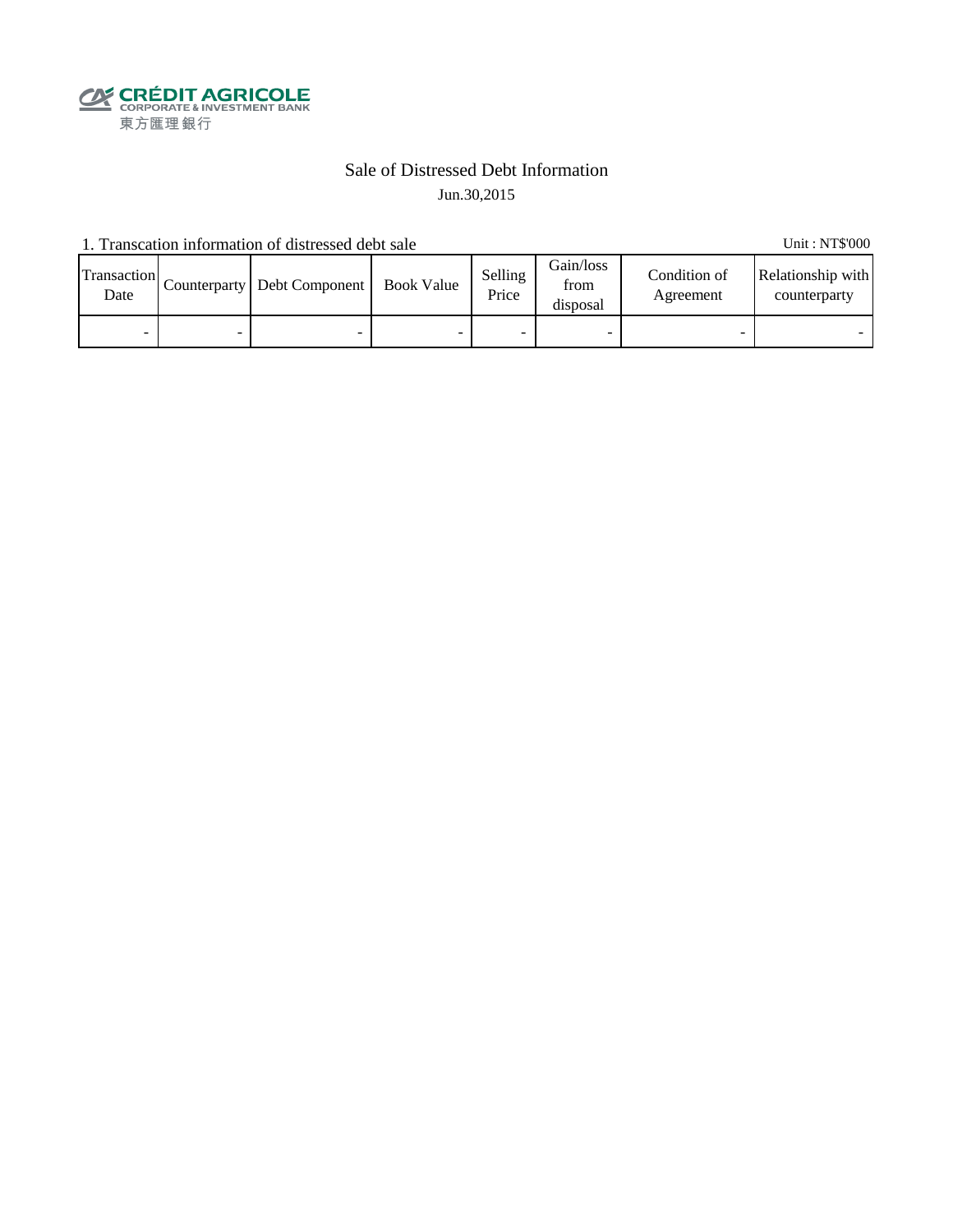

## Sale of Distressed Debt Information Jun.30,2015

1. Transcation information of distressed debt sale Unit: NT\$'000

Transaction  $\frac{\text{D}}{\text{Date}}$  Counterparty Debt Component Book Value Selling Price Gain/loss from disposal Condition of Agreement Relationship with counterparty - - - - - - - -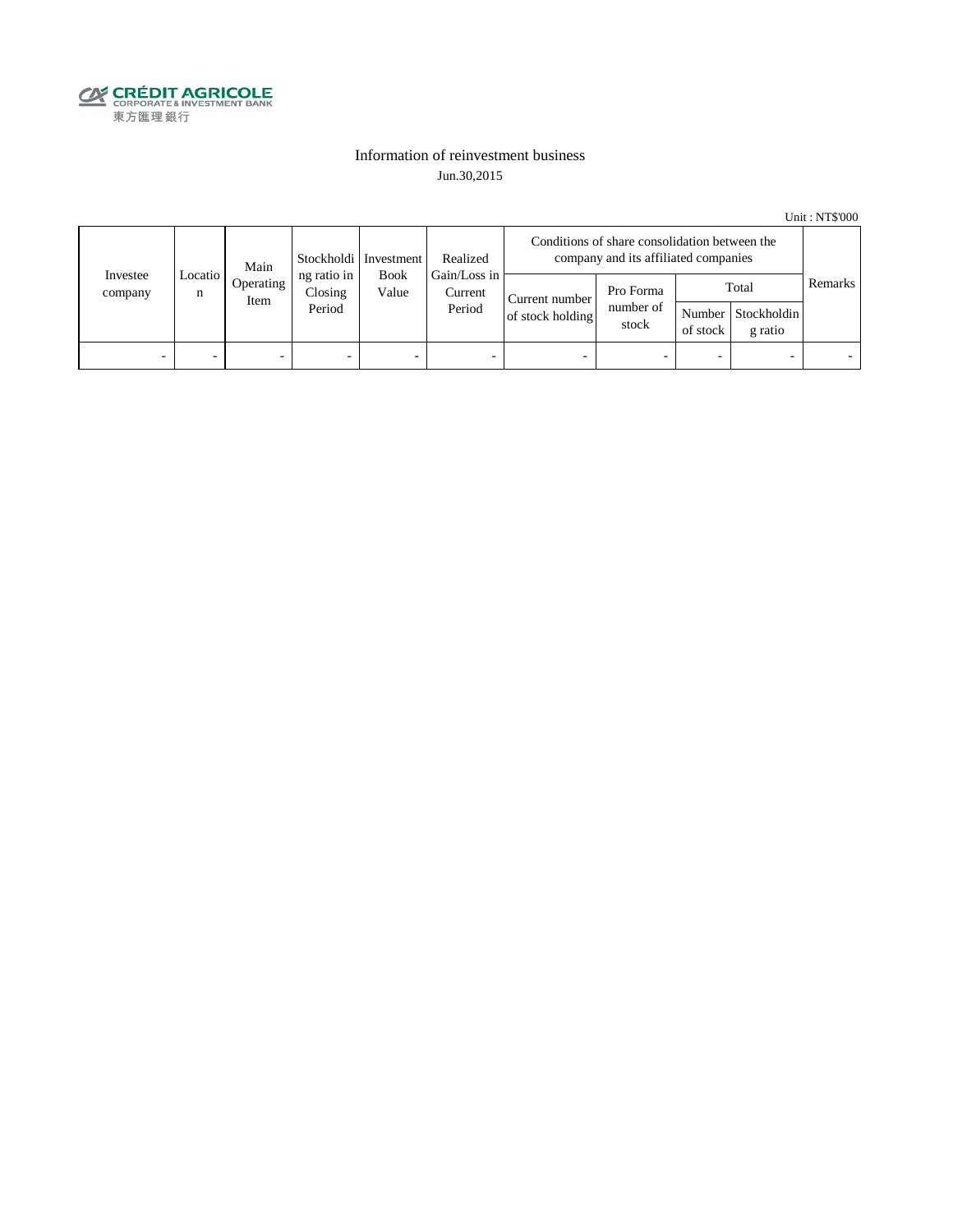

#### Information of reinvestment business Jun.30,2015

Unit : NT\$'000

| Investee<br>company | Main<br>Locatio<br>Operating<br>n<br>Item | Stockholdi   Investment | Realized                         | Conditions of share consolidation between the<br>company and its affiliated companies |                                                  |                                    |                                 |                    |                                 |         |
|---------------------|-------------------------------------------|-------------------------|----------------------------------|---------------------------------------------------------------------------------------|--------------------------------------------------|------------------------------------|---------------------------------|--------------------|---------------------------------|---------|
|                     |                                           |                         | ng ratio in<br>Closing<br>Period | Value                                                                                 | Gain/Loss in<br><b>Book</b><br>Current<br>Period | Current number<br>of stock holding | Pro Forma<br>number of<br>stock | Number<br>of stock | Total<br>Stockholdin<br>g ratio | Remarks |
| -                   |                                           | -                       | $\overline{\phantom{0}}$         | -                                                                                     | $\overline{\phantom{a}}$                         |                                    |                                 | -                  |                                 |         |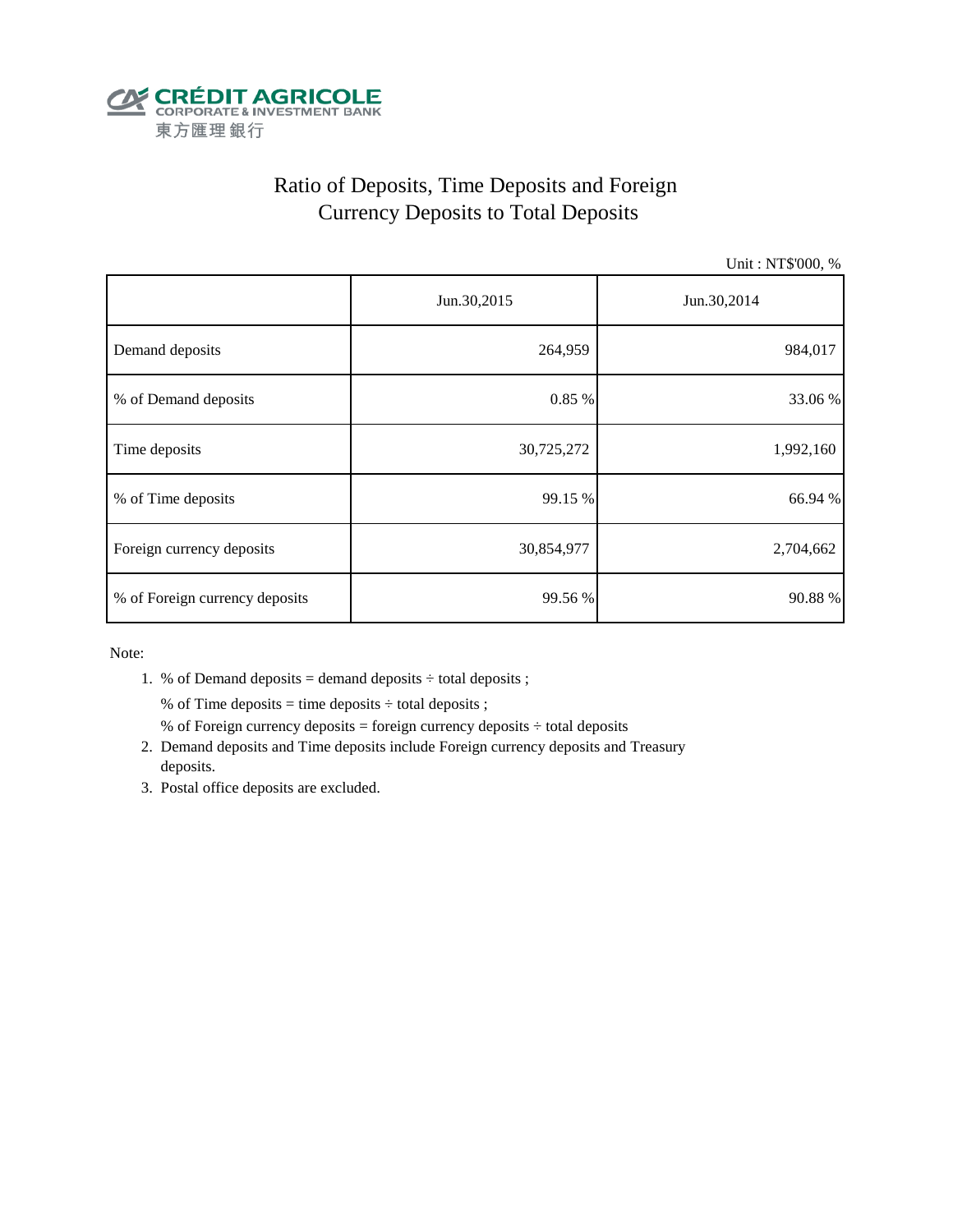

# Ratio of Deposits, Time Deposits and Foreign Currency Deposits to Total Deposits

Unit : NT\$'000, %

|                                | Jun.30,2015 | Jun.30,2014 |  |  |
|--------------------------------|-------------|-------------|--|--|
| Demand deposits                | 264,959     | 984,017     |  |  |
| % of Demand deposits           | 0.85%       | 33.06 %     |  |  |
| Time deposits                  | 30,725,272  | 1,992,160   |  |  |
| % of Time deposits             | 99.15 %     | 66.94 %     |  |  |
| Foreign currency deposits      | 30,854,977  | 2,704,662   |  |  |
| % of Foreign currency deposits | 99.56 %     | 90.88 %     |  |  |

Note:

1. % of Demand deposits = demand deposits  $\div$  total deposits ;

% of Time deposits = time deposits  $\div$  total deposits ;

- % of Foreign currency deposits = foreign currency deposits  $\div$  total deposits
- 2. Demand deposits and Time deposits include Foreign currency deposits and Treasury deposits.
- 3. Postal office deposits are excluded.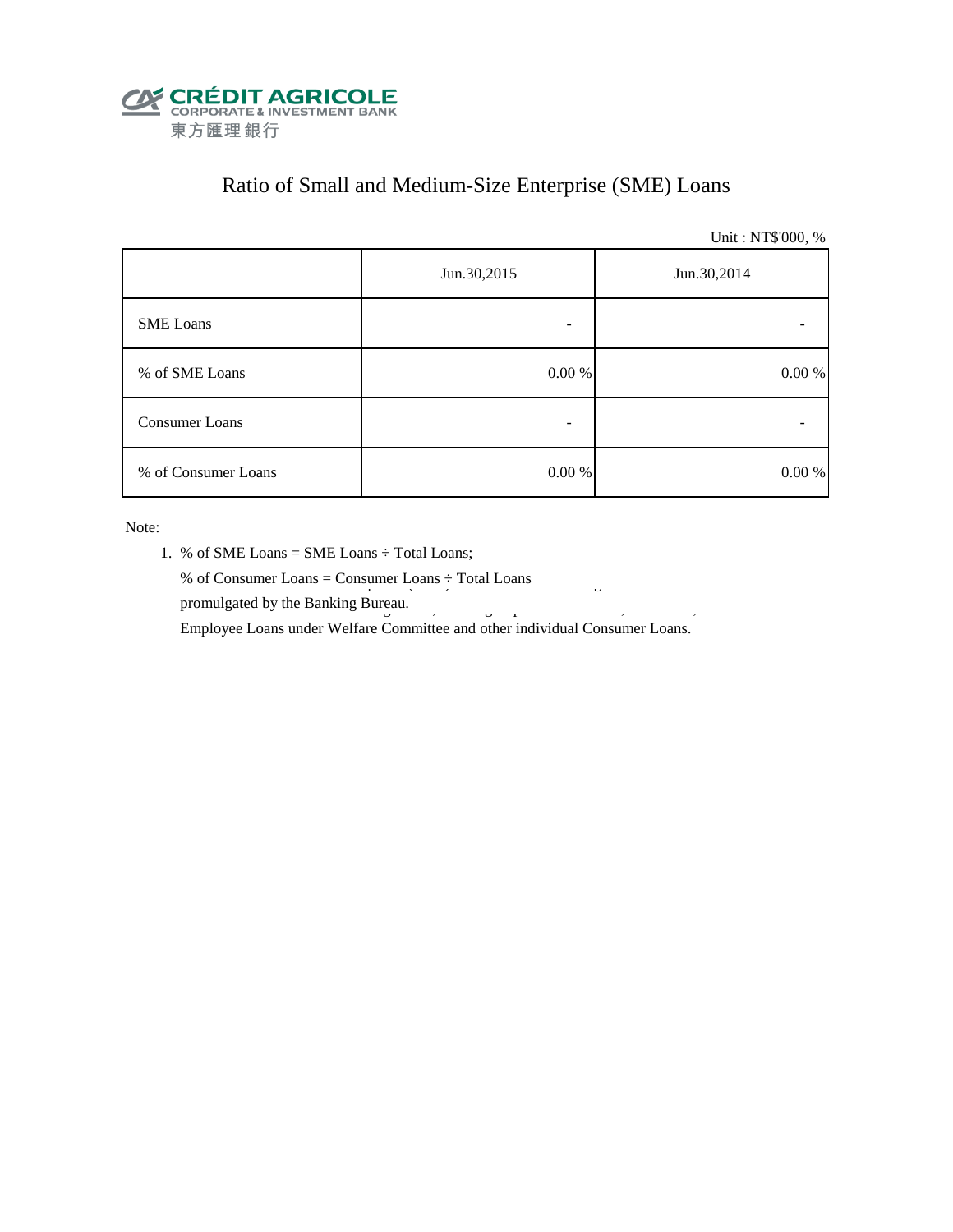

# Ratio of Small and Medium-Size Enterprise (SME) Loans

Unit : NT\$'000, %

|                     | Jun.30,2015 | Jun.30,2014 |  |  |
|---------------------|-------------|-------------|--|--|
| <b>SME</b> Loans    |             |             |  |  |
| % of SME Loans      | $0.00~\%$   | $0.00\ \%$  |  |  |
| Consumer Loans      |             |             |  |  |
| % of Consumer Loans | $0.00\ \%$  | 0.00 %      |  |  |

Note:

- 1. % of SME Loans = SME Loans ÷ Total Loans;
- % of Consumer Loans = Consumer Loans  $\div$  Total Loans promulgated by the Banking Bureau.  $\frac{3}{5}$

Employee Loans under Welfare Committee and other individual Consumer Loans.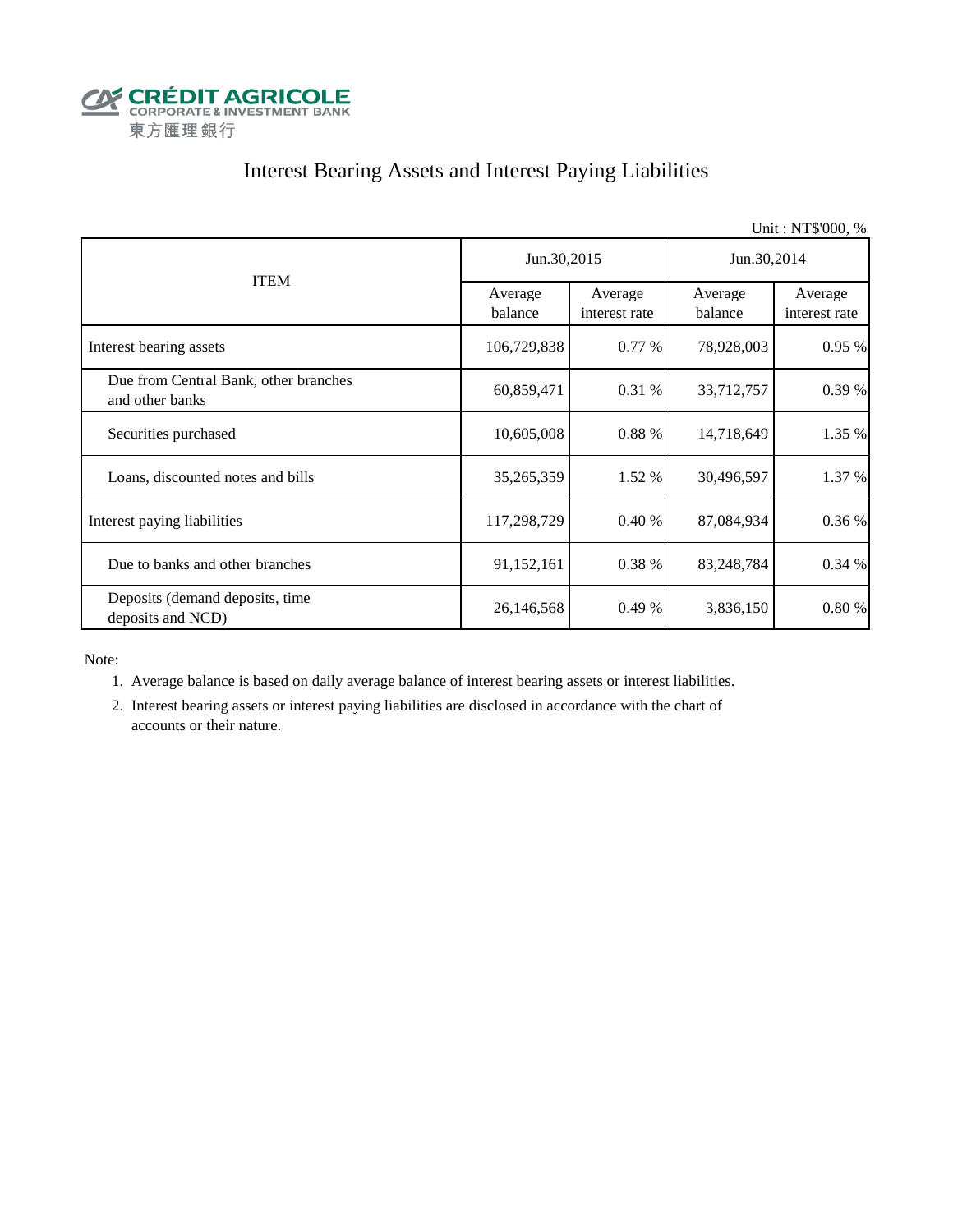

# Interest Bearing Assets and Interest Paying Liabilities

|                                                          |                    |                          |                    | Unit: NT\$'000, %        |  |
|----------------------------------------------------------|--------------------|--------------------------|--------------------|--------------------------|--|
|                                                          | Jun.30,2015        |                          | Jun.30,2014        |                          |  |
| <b>ITEM</b>                                              | Average<br>balance | Average<br>interest rate | Average<br>balance | Average<br>interest rate |  |
| Interest bearing assets                                  | 106,729,838        | $0.77\%$                 | 78,928,003         | 0.95 %                   |  |
| Due from Central Bank, other branches<br>and other banks | 60,859,471         | 0.31%                    | 33,712,757         | 0.39 %                   |  |
| Securities purchased                                     | 10,605,008         | 0.88%                    | 14,718,649         | 1.35 %                   |  |
| Loans, discounted notes and bills                        | 35,265,359         | 1.52 %                   | 30,496,597         | 1.37 %                   |  |
| Interest paying liabilities                              | 117,298,729        | 0.40%                    | 87,084,934         | 0.36 %                   |  |
| Due to banks and other branches                          | 91,152,161         | 0.38 %                   | 83,248,784         | 0.34%                    |  |
| Deposits (demand deposits, time<br>deposits and NCD)     | 26,146,568         | 0.49%                    | 3,836,150          | 0.80%                    |  |

Note:

1. Average balance is based on daily average balance of interest bearing assets or interest liabilities.

 2. Interest bearing assets or interest paying liabilities are disclosed in accordance with the chart of accounts or their nature.